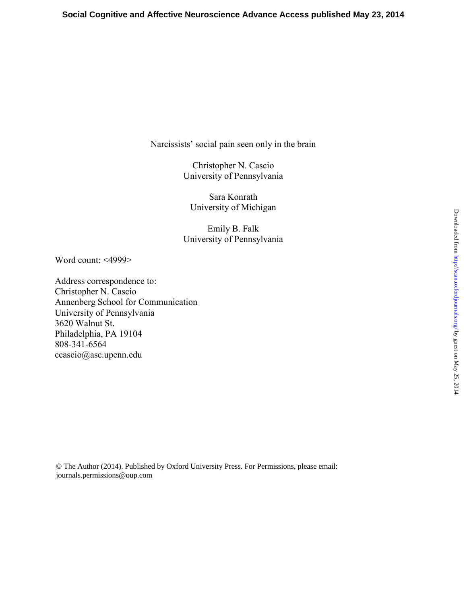Narcissists' social pain seen only in the brain

Christopher N. Cascio University of Pennsylvania

Sara Konrath University of Michigan

Emily B. Falk University of Pennsylvania

Word count: <4999>

Address correspondence to: Christopher N. Cascio Annenberg School for Communication University of Pennsylvania 3620 Walnut St. Philadelphia, PA 19104 808-341-6564 ccascio@asc.upenn.edu

© The Author (2014). Published by Oxford University Press. For Permissions, please email: journals.permissions@oup.com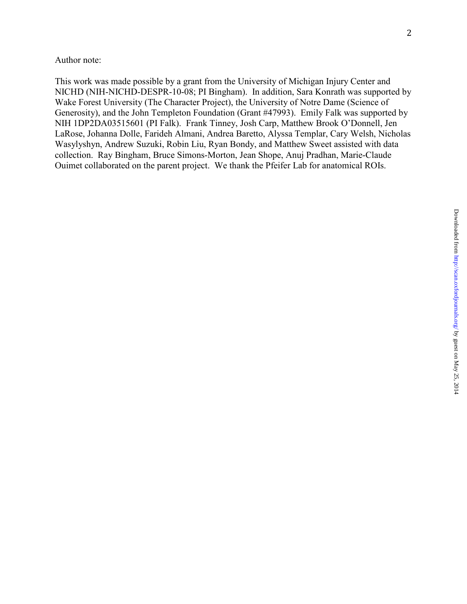This work was made possible by a grant from the University of Michigan Injury Center and NICHD (NIH-NICHD-DESPR-10-08; PI Bingham). In addition, Sara Konrath was supported by Wake Forest University (The Character Project), the University of Notre Dame (Science of Generosity), and the John Templeton Foundation (Grant #47993). Emily Falk was supported by NIH 1DP2DA03515601 (PI Falk). Frank Tinney, Josh Carp, Matthew Brook O'Donnell, Jen LaRose, Johanna Dolle, Farideh Almani, Andrea Baretto, Alyssa Templar, Cary Welsh, Nicholas Wasylyshyn, Andrew Suzuki, Robin Liu, Ryan Bondy, and Matthew Sweet assisted with data collection. Ray Bingham, Bruce Simons-Morton, Jean Shope, Anuj Pradhan, Marie-Claude Ouimet collaborated on the parent project. We thank the Pfeifer Lab for anatomical ROIs.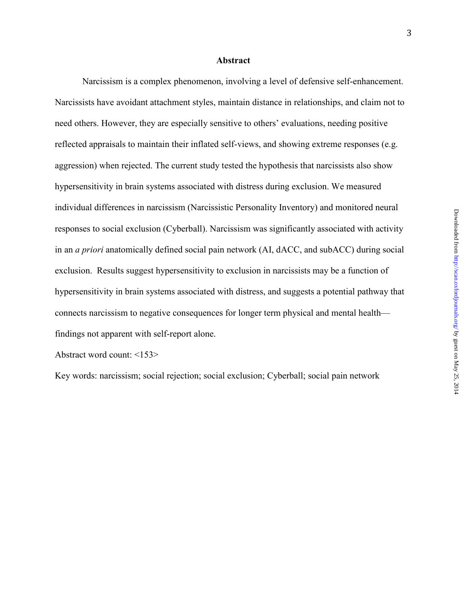#### **Abstract**

Narcissism is a complex phenomenon, involving a level of defensive self-enhancement. Narcissists have avoidant attachment styles, maintain distance in relationships, and claim not to need others. However, they are especially sensitive to others' evaluations, needing positive reflected appraisals to maintain their inflated self-views, and showing extreme responses (e.g. aggression) when rejected. The current study tested the hypothesis that narcissists also show hypersensitivity in brain systems associated with distress during exclusion. We measured individual differences in narcissism (Narcissistic Personality Inventory) and monitored neural responses to social exclusion (Cyberball). Narcissism was significantly associated with activity in an *a priori* anatomically defined social pain network (AI, dACC, and subACC) during social exclusion. Results suggest hypersensitivity to exclusion in narcissists may be a function of hypersensitivity in brain systems associated with distress, and suggests a potential pathway that connects narcissism to negative consequences for longer term physical and mental health findings not apparent with self-report alone.

Abstract word count: <153>

Key words: narcissism; social rejection; social exclusion; Cyberball; social pain network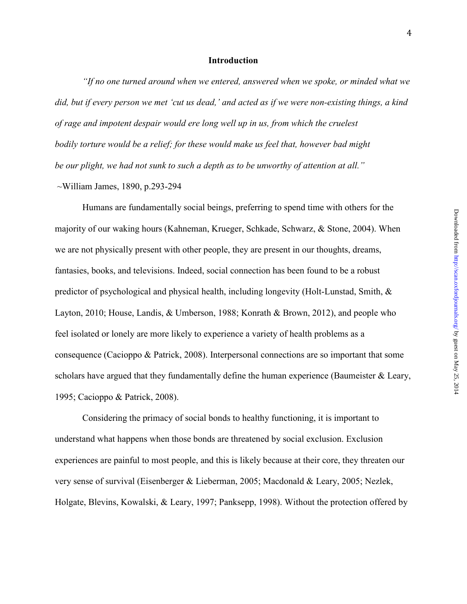### **Introduction**

*"If no one turned around when we entered, answered when we spoke, or minded what we did, but if every person we met 'cut us dead,' and acted as if we were non-existing things, a kind of rage and impotent despair would ere long well up in us, from which the cruelest bodily torture would be a relief; for these would make us feel that, however bad might be our plight, we had not sunk to such a depth as to be unworthy of attention at all."* 

~William James, 1890, p.293-294

Humans are fundamentally social beings, preferring to spend time with others for the majority of our waking hours (Kahneman, Krueger, Schkade, Schwarz, & Stone, 2004). When we are not physically present with other people, they are present in our thoughts, dreams, fantasies, books, and televisions. Indeed, social connection has been found to be a robust predictor of psychological and physical health, including longevity (Holt-Lunstad, Smith, & Layton, 2010; House, Landis, & Umberson, 1988; Konrath & Brown, 2012), and people who feel isolated or lonely are more likely to experience a variety of health problems as a consequence (Cacioppo & Patrick, 2008). Interpersonal connections are so important that some scholars have argued that they fundamentally define the human experience (Baumeister & Leary, 1995; Cacioppo & Patrick, 2008).

Considering the primacy of social bonds to healthy functioning, it is important to understand what happens when those bonds are threatened by social exclusion. Exclusion experiences are painful to most people, and this is likely because at their core, they threaten our very sense of survival (Eisenberger & Lieberman, 2005; Macdonald & Leary, 2005; Nezlek, Holgate, Blevins, Kowalski, & Leary, 1997; Panksepp, 1998). Without the protection offered by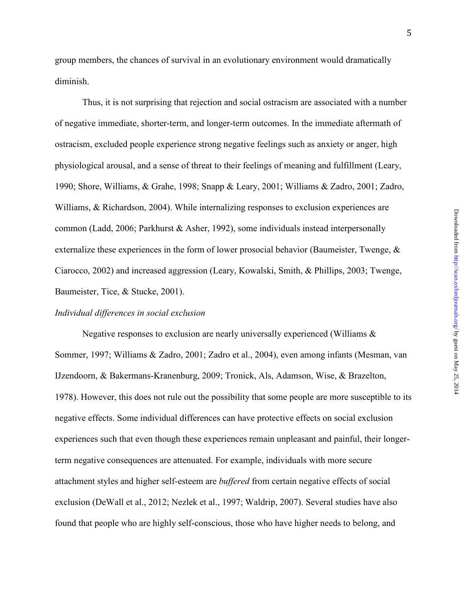group members, the chances of survival in an evolutionary environment would dramatically diminish.

Thus, it is not surprising that rejection and social ostracism are associated with a number of negative immediate, shorter-term, and longer-term outcomes. In the immediate aftermath of ostracism, excluded people experience strong negative feelings such as anxiety or anger, high physiological arousal, and a sense of threat to their feelings of meaning and fulfillment (Leary, 1990; Shore, Williams, & Grahe, 1998; Snapp & Leary, 2001; Williams & Zadro, 2001; Zadro, Williams, & Richardson, 2004). While internalizing responses to exclusion experiences are common (Ladd, 2006; Parkhurst & Asher, 1992), some individuals instead interpersonally externalize these experiences in the form of lower prosocial behavior (Baumeister, Twenge, & Ciarocco, 2002) and increased aggression (Leary, Kowalski, Smith, & Phillips, 2003; Twenge, Baumeister, Tice, & Stucke, 2001).

## *Individual differences in social exclusion*

Negative responses to exclusion are nearly universally experienced (Williams  $\&$ Sommer, 1997; Williams & Zadro, 2001; Zadro et al., 2004), even among infants (Mesman, van IJzendoorn, & Bakermans-Kranenburg, 2009; Tronick, Als, Adamson, Wise, & Brazelton, 1978). However, this does not rule out the possibility that some people are more susceptible to its negative effects. Some individual differences can have protective effects on social exclusion experiences such that even though these experiences remain unpleasant and painful, their longerterm negative consequences are attenuated. For example, individuals with more secure attachment styles and higher self-esteem are *buffered* from certain negative effects of social exclusion (DeWall et al., 2012; Nezlek et al., 1997; Waldrip, 2007). Several studies have also found that people who are highly self-conscious, those who have higher needs to belong, and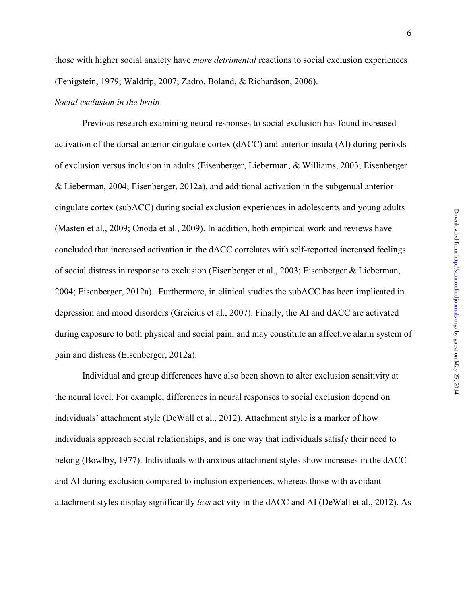6

those with higher social anxiety have *more detrimental* reactions to social exclusion experiences (Fenigstein, 1979; Waldrip, 2007; Zadro, Boland, & Richardson, 2006).

## *Social exclusion in the brain*

Previous research examining neural responses to social exclusion has found increased activation of the dorsal anterior cingulate cortex (dACC) and anterior insula (AI) during periods of exclusion versus inclusion in adults (Eisenberger, Lieberman, & Williams, 2003; Eisenberger & Lieberman, 2004; Eisenberger, 2012a), and additional activation in the subgenual anterior cingulate cortex (subACC) during social exclusion experiences in adolescents and young adults (Masten et al., 2009; Onoda et al., 2009). In addition, both empirical work and reviews have concluded that increased activation in the dACC correlates with self-reported increased feelings of social distress in response to exclusion (Eisenberger et al., 2003; Eisenberger & Lieberman, 2004; Eisenberger, 2012a). Furthermore, in clinical studies the subACC has been implicated in depression and mood disorders (Greicius et al., 2007). Finally, the AI and dACC are activated during exposure to both physical and social pain, and may constitute an affective alarm system of pain and distress (Eisenberger, 2012a).

Individual and group differences have also been shown to alter exclusion sensitivity at the neural level. For example, differences in neural responses to social exclusion depend on individuals' attachment style (DeWall et al., 2012). Attachment style is a marker of how individuals approach social relationships, and is one way that individuals satisfy their need to belong (Bowlby, 1977). Individuals with anxious attachment styles show increases in the dACC and AI during exclusion compared to inclusion experiences, whereas those with avoidant attachment styles display significantly *less* activity in the dACC and AI (DeWall et al., 2012). As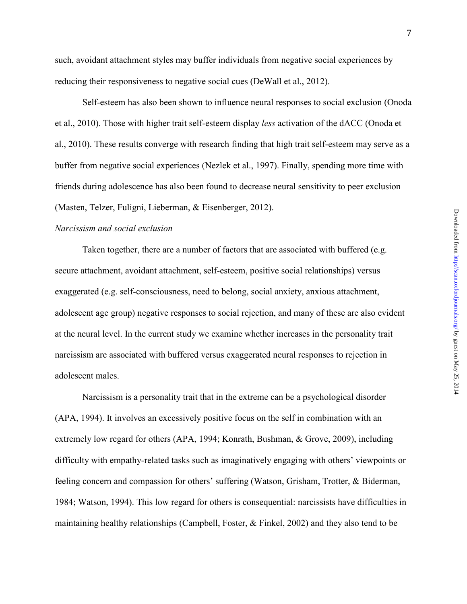such, avoidant attachment styles may buffer individuals from negative social experiences by reducing their responsiveness to negative social cues (DeWall et al., 2012).

Self-esteem has also been shown to influence neural responses to social exclusion (Onoda et al., 2010). Those with higher trait self-esteem display *less* activation of the dACC (Onoda et al., 2010). These results converge with research finding that high trait self-esteem may serve as a buffer from negative social experiences (Nezlek et al., 1997). Finally, spending more time with friends during adolescence has also been found to decrease neural sensitivity to peer exclusion (Masten, Telzer, Fuligni, Lieberman, & Eisenberger, 2012).

## *Narcissism and social exclusion*

Taken together, there are a number of factors that are associated with buffered (e.g. secure attachment, avoidant attachment, self-esteem, positive social relationships) versus exaggerated (e.g. self-consciousness, need to belong, social anxiety, anxious attachment, adolescent age group) negative responses to social rejection, and many of these are also evident at the neural level. In the current study we examine whether increases in the personality trait narcissism are associated with buffered versus exaggerated neural responses to rejection in adolescent males.

 Narcissism is a personality trait that in the extreme can be a psychological disorder (APA, 1994). It involves an excessively positive focus on the self in combination with an extremely low regard for others (APA, 1994; Konrath, Bushman, & Grove, 2009), including difficulty with empathy-related tasks such as imaginatively engaging with others' viewpoints or feeling concern and compassion for others' suffering (Watson, Grisham, Trotter, & Biderman, 1984; Watson, 1994). This low regard for others is consequential: narcissists have difficulties in maintaining healthy relationships (Campbell, Foster, & Finkel, 2002) and they also tend to be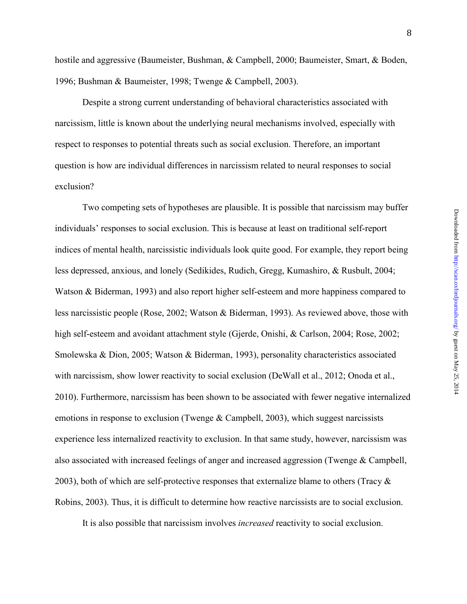hostile and aggressive (Baumeister, Bushman, & Campbell, 2000; Baumeister, Smart, & Boden, 1996; Bushman & Baumeister, 1998; Twenge & Campbell, 2003).

Despite a strong current understanding of behavioral characteristics associated with narcissism, little is known about the underlying neural mechanisms involved, especially with respect to responses to potential threats such as social exclusion. Therefore, an important question is how are individual differences in narcissism related to neural responses to social exclusion?

Two competing sets of hypotheses are plausible. It is possible that narcissism may buffer individuals' responses to social exclusion. This is because at least on traditional self-report indices of mental health, narcissistic individuals look quite good. For example, they report being less depressed, anxious, and lonely (Sedikides, Rudich, Gregg, Kumashiro, & Rusbult, 2004; Watson & Biderman, 1993) and also report higher self-esteem and more happiness compared to less narcissistic people (Rose, 2002; Watson & Biderman, 1993). As reviewed above, those with high self-esteem and avoidant attachment style (Gjerde, Onishi, & Carlson, 2004; Rose, 2002; Smolewska & Dion, 2005; Watson & Biderman, 1993), personality characteristics associated with narcissism, show lower reactivity to social exclusion (DeWall et al., 2012; Onoda et al., 2010). Furthermore, narcissism has been shown to be associated with fewer negative internalized emotions in response to exclusion (Twenge & Campbell, 2003), which suggest narcissists experience less internalized reactivity to exclusion. In that same study, however, narcissism was also associated with increased feelings of anger and increased aggression (Twenge & Campbell, 2003), both of which are self-protective responses that externalize blame to others (Tracy  $\&$ Robins, 2003). Thus, it is difficult to determine how reactive narcissists are to social exclusion.

It is also possible that narcissism involves *increased* reactivity to social exclusion.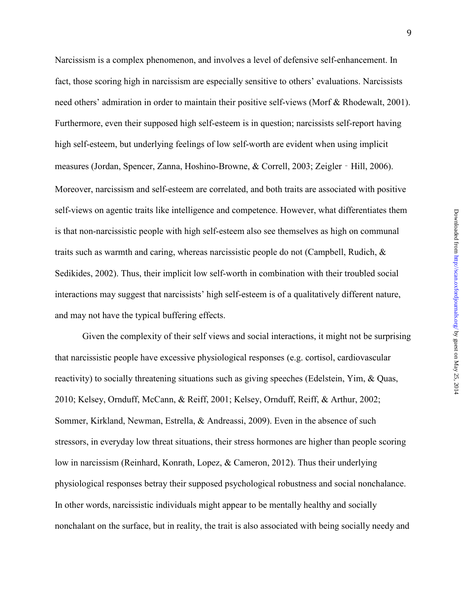Narcissism is a complex phenomenon, and involves a level of defensive self-enhancement. In fact, those scoring high in narcissism are especially sensitive to others' evaluations. Narcissists need others' admiration in order to maintain their positive self-views (Morf & Rhodewalt, 2001). Furthermore, even their supposed high self-esteem is in question; narcissists self-report having high self-esteem, but underlying feelings of low self-worth are evident when using implicit measures (Jordan, Spencer, Zanna, Hoshino-Browne, & Correll, 2003; Zeigler - Hill, 2006). Moreover, narcissism and self-esteem are correlated, and both traits are associated with positive self-views on agentic traits like intelligence and competence. However, what differentiates them is that non-narcissistic people with high self-esteem also see themselves as high on communal traits such as warmth and caring, whereas narcissistic people do not (Campbell, Rudich, & Sedikides, 2002). Thus, their implicit low self-worth in combination with their troubled social interactions may suggest that narcissists' high self-esteem is of a qualitatively different nature, and may not have the typical buffering effects.

Given the complexity of their self views and social interactions, it might not be surprising that narcissistic people have excessive physiological responses (e.g. cortisol, cardiovascular reactivity) to socially threatening situations such as giving speeches (Edelstein, Yim, & Quas, 2010; Kelsey, Ornduff, McCann, & Reiff, 2001; Kelsey, Ornduff, Reiff, & Arthur, 2002; Sommer, Kirkland, Newman, Estrella, & Andreassi, 2009). Even in the absence of such stressors, in everyday low threat situations, their stress hormones are higher than people scoring low in narcissism (Reinhard, Konrath, Lopez, & Cameron, 2012). Thus their underlying physiological responses betray their supposed psychological robustness and social nonchalance. In other words, narcissistic individuals might appear to be mentally healthy and socially nonchalant on the surface, but in reality, the trait is also associated with being socially needy and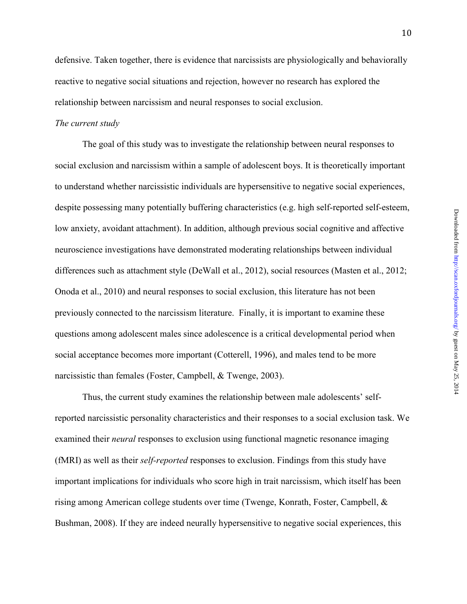defensive. Taken together, there is evidence that narcissists are physiologically and behaviorally reactive to negative social situations and rejection, however no research has explored the relationship between narcissism and neural responses to social exclusion.

### *The current study*

The goal of this study was to investigate the relationship between neural responses to social exclusion and narcissism within a sample of adolescent boys. It is theoretically important to understand whether narcissistic individuals are hypersensitive to negative social experiences, despite possessing many potentially buffering characteristics (e.g. high self-reported self-esteem, low anxiety, avoidant attachment). In addition, although previous social cognitive and affective neuroscience investigations have demonstrated moderating relationships between individual differences such as attachment style (DeWall et al., 2012), social resources (Masten et al., 2012; Onoda et al., 2010) and neural responses to social exclusion, this literature has not been previously connected to the narcissism literature. Finally, it is important to examine these questions among adolescent males since adolescence is a critical developmental period when social acceptance becomes more important (Cotterell, 1996), and males tend to be more narcissistic than females (Foster, Campbell, & Twenge, 2003).

Thus, the current study examines the relationship between male adolescents' selfreported narcissistic personality characteristics and their responses to a social exclusion task. We examined their *neural* responses to exclusion using functional magnetic resonance imaging (fMRI) as well as their *self-reported* responses to exclusion. Findings from this study have important implications for individuals who score high in trait narcissism, which itself has been rising among American college students over time (Twenge, Konrath, Foster, Campbell, & Bushman, 2008). If they are indeed neurally hypersensitive to negative social experiences, this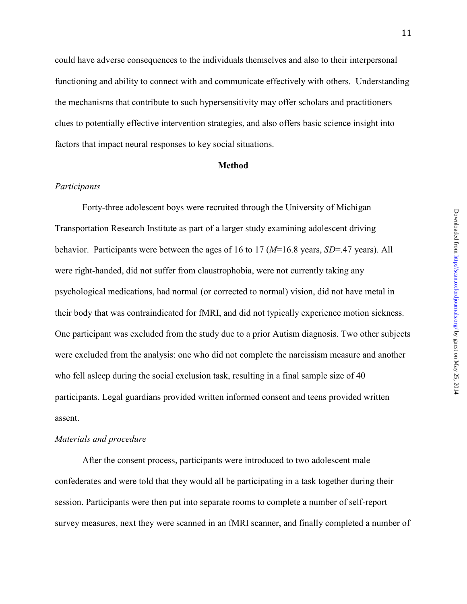11

could have adverse consequences to the individuals themselves and also to their interpersonal functioning and ability to connect with and communicate effectively with others. Understanding the mechanisms that contribute to such hypersensitivity may offer scholars and practitioners clues to potentially effective intervention strategies, and also offers basic science insight into factors that impact neural responses to key social situations.

## **Method**

## *Participants*

Forty-three adolescent boys were recruited through the University of Michigan Transportation Research Institute as part of a larger study examining adolescent driving behavior. Participants were between the ages of 16 to 17 (*M*=16.8 years, *SD*=.47 years). All were right-handed, did not suffer from claustrophobia, were not currently taking any psychological medications, had normal (or corrected to normal) vision, did not have metal in their body that was contraindicated for fMRI, and did not typically experience motion sickness. One participant was excluded from the study due to a prior Autism diagnosis. Two other subjects were excluded from the analysis: one who did not complete the narcissism measure and another who fell asleep during the social exclusion task, resulting in a final sample size of 40 participants. Legal guardians provided written informed consent and teens provided written assent.

## *Materials and procedure*

 After the consent process, participants were introduced to two adolescent male confederates and were told that they would all be participating in a task together during their session. Participants were then put into separate rooms to complete a number of self-report survey measures, next they were scanned in an fMRI scanner, and finally completed a number of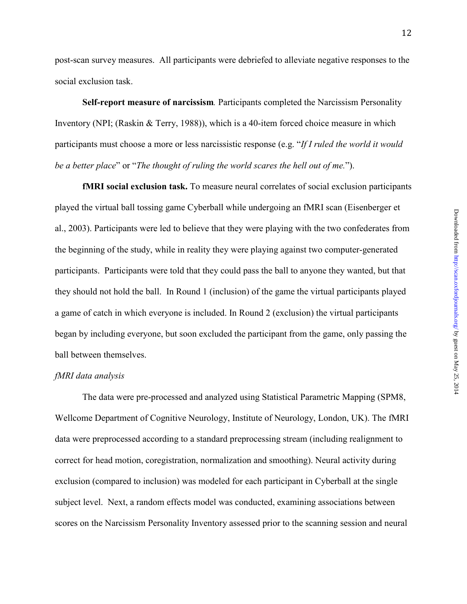post-scan survey measures. All participants were debriefed to alleviate negative responses to the social exclusion task.

**Self-report measure of narcissism***.* Participants completed the Narcissism Personality Inventory (NPI; (Raskin & Terry, 1988)), which is a 40-item forced choice measure in which participants must choose a more or less narcissistic response (e.g. "*If I ruled the world it would be a better place*" or "*The thought of ruling the world scares the hell out of me.*").

**fMRI social exclusion task.** To measure neural correlates of social exclusion participants played the virtual ball tossing game Cyberball while undergoing an fMRI scan (Eisenberger et al., 2003). Participants were led to believe that they were playing with the two confederates from the beginning of the study, while in reality they were playing against two computer-generated participants. Participants were told that they could pass the ball to anyone they wanted, but that they should not hold the ball. In Round 1 (inclusion) of the game the virtual participants played a game of catch in which everyone is included. In Round 2 (exclusion) the virtual participants began by including everyone, but soon excluded the participant from the game, only passing the ball between themselves.

## *fMRI data analysis*

The data were pre-processed and analyzed using Statistical Parametric Mapping (SPM8, Wellcome Department of Cognitive Neurology, Institute of Neurology, London, UK). The fMRI data were preprocessed according to a standard preprocessing stream (including realignment to correct for head motion, coregistration, normalization and smoothing). Neural activity during exclusion (compared to inclusion) was modeled for each participant in Cyberball at the single subject level. Next, a random effects model was conducted, examining associations between scores on the Narcissism Personality Inventory assessed prior to the scanning session and neural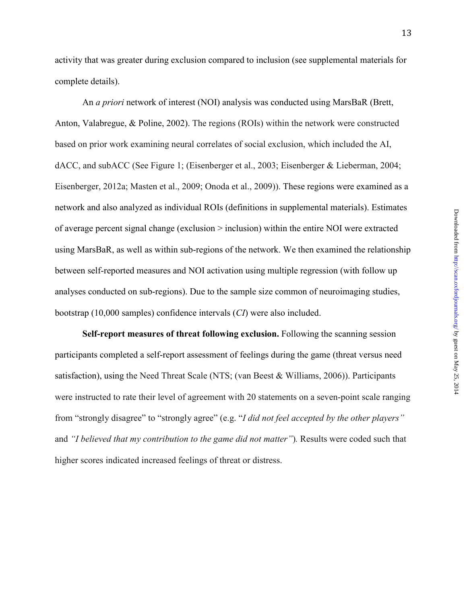activity that was greater during exclusion compared to inclusion (see supplemental materials for complete details).

An *a priori* network of interest (NOI) analysis was conducted using MarsBaR (Brett, Anton, Valabregue, & Poline, 2002). The regions (ROIs) within the network were constructed based on prior work examining neural correlates of social exclusion, which included the AI, dACC, and subACC (See Figure 1; (Eisenberger et al., 2003; Eisenberger & Lieberman, 2004; Eisenberger, 2012a; Masten et al., 2009; Onoda et al., 2009)). These regions were examined as a network and also analyzed as individual ROIs (definitions in supplemental materials). Estimates of average percent signal change (exclusion > inclusion) within the entire NOI were extracted using MarsBaR, as well as within sub-regions of the network. We then examined the relationship between self-reported measures and NOI activation using multiple regression (with follow up analyses conducted on sub-regions). Due to the sample size common of neuroimaging studies, bootstrap (10,000 samples) confidence intervals (*CI*) were also included.

**Self-report measures of threat following exclusion.** Following the scanning session participants completed a self-report assessment of feelings during the game (threat versus need satisfaction), using the Need Threat Scale (NTS; (van Beest & Williams, 2006)). Participants were instructed to rate their level of agreement with 20 statements on a seven-point scale ranging from "strongly disagree" to "strongly agree" (e.g. "*I did not feel accepted by the other players"*  and *"I believed that my contribution to the game did not matter"*)*.* Results were coded such that higher scores indicated increased feelings of threat or distress.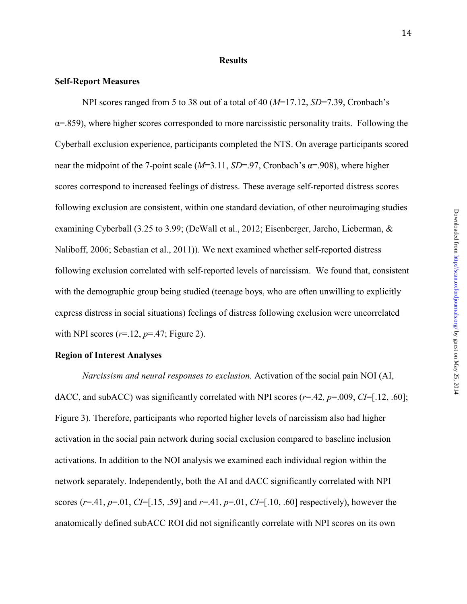#### **Results**

### **Self-Report Measures**

 NPI scores ranged from 5 to 38 out of a total of 40 (*M*=17.12, *SD*=7.39, Cronbach's  $\alpha$ =.859), where higher scores corresponded to more narcissistic personality traits. Following the Cyberball exclusion experience, participants completed the NTS. On average participants scored near the midpoint of the 7-point scale  $(M=3.11, SD=0.97, Cronbach's \alpha = 0.908)$ , where higher scores correspond to increased feelings of distress. These average self-reported distress scores following exclusion are consistent, within one standard deviation, of other neuroimaging studies examining Cyberball (3.25 to 3.99; (DeWall et al., 2012; Eisenberger, Jarcho, Lieberman, & Naliboff, 2006; Sebastian et al., 2011)). We next examined whether self-reported distress following exclusion correlated with self-reported levels of narcissism. We found that, consistent with the demographic group being studied (teenage boys, who are often unwilling to explicitly express distress in social situations) feelings of distress following exclusion were uncorrelated with NPI scores  $(r=12, p=.47;$  Figure 2).

### **Region of Interest Analyses**

*Narcissism and neural responses to exclusion.* Activation of the social pain NOI (AI, dACC, and subACC) was significantly correlated with NPI scores (*r*=.42*, p*=.009, *CI*=[.12, .60]; Figure 3). Therefore, participants who reported higher levels of narcissism also had higher activation in the social pain network during social exclusion compared to baseline inclusion activations. In addition to the NOI analysis we examined each individual region within the network separately. Independently, both the AI and dACC significantly correlated with NPI scores ( $r=0.41$ ,  $p=0.01$ ,  $CI=[0.15, 0.59]$  and  $r=0.41$ ,  $p=0.01$ ,  $CI=[0.10, 0.60]$  respectively), however the anatomically defined subACC ROI did not significantly correlate with NPI scores on its own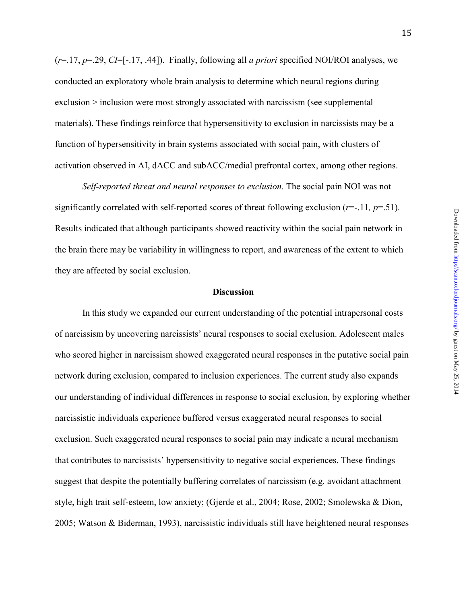(*r*=.17, *p*=.29, *CI*=[-.17, .44]). Finally, following all *a priori* specified NOI/ROI analyses, we conducted an exploratory whole brain analysis to determine which neural regions during exclusion > inclusion were most strongly associated with narcissism (see supplemental materials). These findings reinforce that hypersensitivity to exclusion in narcissists may be a function of hypersensitivity in brain systems associated with social pain, with clusters of activation observed in AI, dACC and subACC/medial prefrontal cortex, among other regions.

*Self-reported threat and neural responses to exclusion.* The social pain NOI was not significantly correlated with self-reported scores of threat following exclusion  $(r=-.11, p=.51)$ . Results indicated that although participants showed reactivity within the social pain network in the brain there may be variability in willingness to report, and awareness of the extent to which they are affected by social exclusion.

### **Discussion**

 In this study we expanded our current understanding of the potential intrapersonal costs of narcissism by uncovering narcissists' neural responses to social exclusion. Adolescent males who scored higher in narcissism showed exaggerated neural responses in the putative social pain network during exclusion, compared to inclusion experiences. The current study also expands our understanding of individual differences in response to social exclusion, by exploring whether narcissistic individuals experience buffered versus exaggerated neural responses to social exclusion. Such exaggerated neural responses to social pain may indicate a neural mechanism that contributes to narcissists' hypersensitivity to negative social experiences. These findings suggest that despite the potentially buffering correlates of narcissism (e.g. avoidant attachment style, high trait self-esteem, low anxiety; (Gjerde et al., 2004; Rose, 2002; Smolewska & Dion, 2005; Watson & Biderman, 1993), narcissistic individuals still have heightened neural responses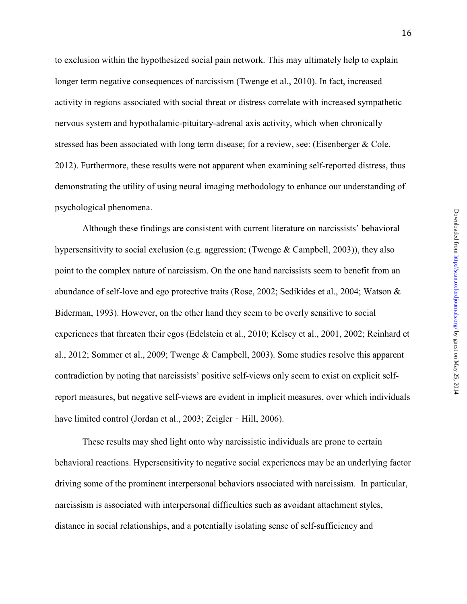to exclusion within the hypothesized social pain network. This may ultimately help to explain longer term negative consequences of narcissism (Twenge et al., 2010). In fact, increased activity in regions associated with social threat or distress correlate with increased sympathetic nervous system and hypothalamic-pituitary-adrenal axis activity, which when chronically stressed has been associated with long term disease; for a review, see: (Eisenberger & Cole, 2012). Furthermore, these results were not apparent when examining self-reported distress, thus demonstrating the utility of using neural imaging methodology to enhance our understanding of psychological phenomena.

 Although these findings are consistent with current literature on narcissists' behavioral hypersensitivity to social exclusion (e.g. aggression; (Twenge  $&$  Campbell, 2003)), they also point to the complex nature of narcissism. On the one hand narcissists seem to benefit from an abundance of self-love and ego protective traits (Rose, 2002; Sedikides et al., 2004; Watson & Biderman, 1993). However, on the other hand they seem to be overly sensitive to social experiences that threaten their egos (Edelstein et al., 2010; Kelsey et al., 2001, 2002; Reinhard et al., 2012; Sommer et al., 2009; Twenge & Campbell, 2003). Some studies resolve this apparent contradiction by noting that narcissists' positive self-views only seem to exist on explicit selfreport measures, but negative self-views are evident in implicit measures, over which individuals have limited control (Jordan et al., 2003; Zeigler - Hill, 2006).

These results may shed light onto why narcissistic individuals are prone to certain behavioral reactions. Hypersensitivity to negative social experiences may be an underlying factor driving some of the prominent interpersonal behaviors associated with narcissism. In particular, narcissism is associated with interpersonal difficulties such as avoidant attachment styles, distance in social relationships, and a potentially isolating sense of self-sufficiency and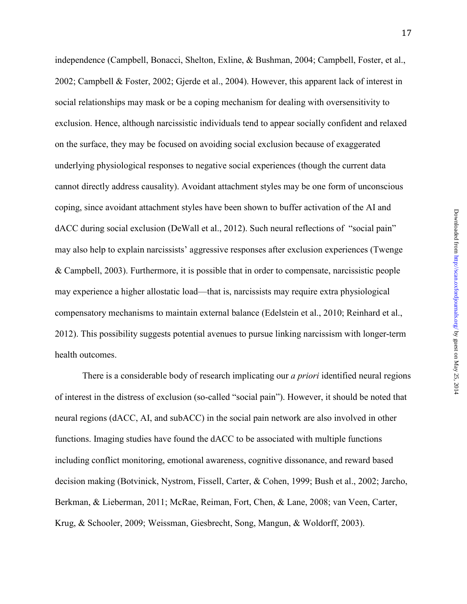Downloaded from http://scan.oxfordjournals.org/ by guest on May 25, 2014 by guest on May 25, 2014 <http://scan.oxfordjournals.org/> Downloaded from

independence (Campbell, Bonacci, Shelton, Exline, & Bushman, 2004; Campbell, Foster, et al., 2002; Campbell & Foster, 2002; Gjerde et al., 2004). However, this apparent lack of interest in social relationships may mask or be a coping mechanism for dealing with oversensitivity to exclusion. Hence, although narcissistic individuals tend to appear socially confident and relaxed on the surface, they may be focused on avoiding social exclusion because of exaggerated underlying physiological responses to negative social experiences (though the current data cannot directly address causality). Avoidant attachment styles may be one form of unconscious coping, since avoidant attachment styles have been shown to buffer activation of the AI and dACC during social exclusion (DeWall et al., 2012). Such neural reflections of "social pain" may also help to explain narcissists' aggressive responses after exclusion experiences (Twenge & Campbell, 2003). Furthermore, it is possible that in order to compensate, narcissistic people may experience a higher allostatic load—that is, narcissists may require extra physiological compensatory mechanisms to maintain external balance (Edelstein et al., 2010; Reinhard et al., 2012). This possibility suggests potential avenues to pursue linking narcissism with longer-term health outcomes.

 There is a considerable body of research implicating our *a priori* identified neural regions of interest in the distress of exclusion (so-called "social pain"). However, it should be noted that neural regions (dACC, AI, and subACC) in the social pain network are also involved in other functions. Imaging studies have found the dACC to be associated with multiple functions including conflict monitoring, emotional awareness, cognitive dissonance, and reward based decision making (Botvinick, Nystrom, Fissell, Carter, & Cohen, 1999; Bush et al., 2002; Jarcho, Berkman, & Lieberman, 2011; McRae, Reiman, Fort, Chen, & Lane, 2008; van Veen, Carter, Krug, & Schooler, 2009; Weissman, Giesbrecht, Song, Mangun, & Woldorff, 2003).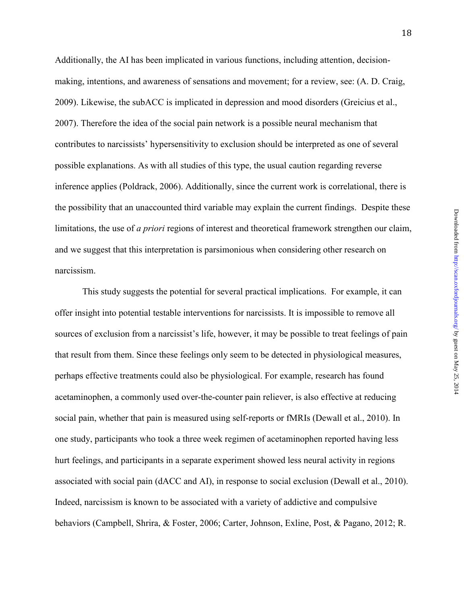Downloaded from http://scan.oxfordjournals.org/ by guest on May 25, 2014 by guest on May 25, 2014 <http://scan.oxfordjournals.org/> Downloaded from

Additionally, the AI has been implicated in various functions, including attention, decisionmaking, intentions, and awareness of sensations and movement; for a review, see: (A. D. Craig, 2009). Likewise, the subACC is implicated in depression and mood disorders (Greicius et al., 2007). Therefore the idea of the social pain network is a possible neural mechanism that contributes to narcissists' hypersensitivity to exclusion should be interpreted as one of several possible explanations. As with all studies of this type, the usual caution regarding reverse inference applies (Poldrack, 2006). Additionally, since the current work is correlational, there is the possibility that an unaccounted third variable may explain the current findings. Despite these limitations, the use of *a priori* regions of interest and theoretical framework strengthen our claim, and we suggest that this interpretation is parsimonious when considering other research on narcissism.

 This study suggests the potential for several practical implications. For example, it can offer insight into potential testable interventions for narcissists. It is impossible to remove all sources of exclusion from a narcissist's life, however, it may be possible to treat feelings of pain that result from them. Since these feelings only seem to be detected in physiological measures, perhaps effective treatments could also be physiological. For example, research has found acetaminophen, a commonly used over-the-counter pain reliever, is also effective at reducing social pain, whether that pain is measured using self-reports or fMRIs (Dewall et al., 2010). In one study, participants who took a three week regimen of acetaminophen reported having less hurt feelings, and participants in a separate experiment showed less neural activity in regions associated with social pain (dACC and AI), in response to social exclusion (Dewall et al., 2010). Indeed, narcissism is known to be associated with a variety of addictive and compulsive behaviors (Campbell, Shrira, & Foster, 2006; Carter, Johnson, Exline, Post, & Pagano, 2012; R.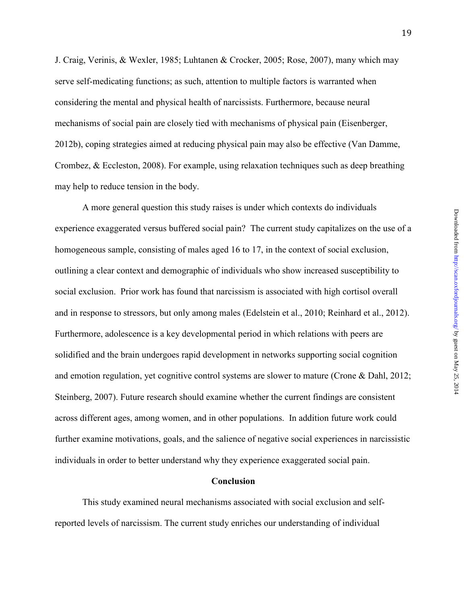J. Craig, Verinis, & Wexler, 1985; Luhtanen & Crocker, 2005; Rose, 2007), many which may serve self-medicating functions; as such, attention to multiple factors is warranted when considering the mental and physical health of narcissists. Furthermore, because neural mechanisms of social pain are closely tied with mechanisms of physical pain (Eisenberger, 2012b), coping strategies aimed at reducing physical pain may also be effective (Van Damme, Crombez, & Eccleston, 2008). For example, using relaxation techniques such as deep breathing may help to reduce tension in the body.

A more general question this study raises is under which contexts do individuals experience exaggerated versus buffered social pain? The current study capitalizes on the use of a homogeneous sample, consisting of males aged 16 to 17, in the context of social exclusion, outlining a clear context and demographic of individuals who show increased susceptibility to social exclusion. Prior work has found that narcissism is associated with high cortisol overall and in response to stressors, but only among males (Edelstein et al., 2010; Reinhard et al., 2012). Furthermore, adolescence is a key developmental period in which relations with peers are solidified and the brain undergoes rapid development in networks supporting social cognition and emotion regulation, yet cognitive control systems are slower to mature (Crone & Dahl, 2012; Steinberg, 2007). Future research should examine whether the current findings are consistent across different ages, among women, and in other populations. In addition future work could further examine motivations, goals, and the salience of negative social experiences in narcissistic individuals in order to better understand why they experience exaggerated social pain.

#### **Conclusion**

This study examined neural mechanisms associated with social exclusion and selfreported levels of narcissism. The current study enriches our understanding of individual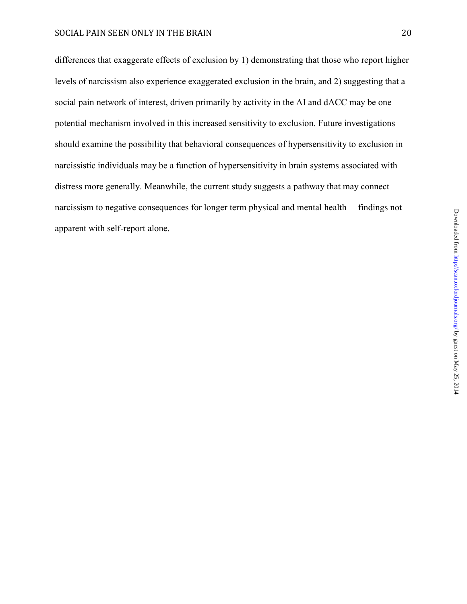differences that exaggerate effects of exclusion by 1) demonstrating that those who report higher levels of narcissism also experience exaggerated exclusion in the brain, and 2) suggesting that a social pain network of interest, driven primarily by activity in the AI and dACC may be one potential mechanism involved in this increased sensitivity to exclusion. Future investigations should examine the possibility that behavioral consequences of hypersensitivity to exclusion in narcissistic individuals may be a function of hypersensitivity in brain systems associated with distress more generally. Meanwhile, the current study suggests a pathway that may connect narcissism to negative consequences for longer term physical and mental health— findings not apparent with self-report alone.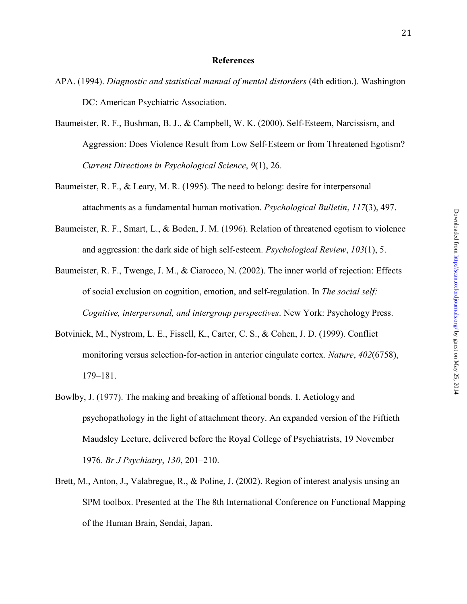#### **References**

- APA. (1994). *Diagnostic and statistical manual of mental distorders* (4th edition.). Washington DC: American Psychiatric Association.
- Baumeister, R. F., Bushman, B. J., & Campbell, W. K. (2000). Self-Esteem, Narcissism, and Aggression: Does Violence Result from Low Self-Esteem or from Threatened Egotism? *Current Directions in Psychological Science*, *9*(1), 26.
- Baumeister, R. F., & Leary, M. R. (1995). The need to belong: desire for interpersonal attachments as a fundamental human motivation. *Psychological Bulletin*, *117*(3), 497.
- Baumeister, R. F., Smart, L., & Boden, J. M. (1996). Relation of threatened egotism to violence and aggression: the dark side of high self-esteem. *Psychological Review*, *103*(1), 5.
- Baumeister, R. F., Twenge, J. M., & Ciarocco, N. (2002). The inner world of rejection: Effects of social exclusion on cognition, emotion, and self-regulation. In *The social self: Cognitive, interpersonal, and intergroup perspectives*. New York: Psychology Press.
- Botvinick, M., Nystrom, L. E., Fissell, K., Carter, C. S., & Cohen, J. D. (1999). Conflict monitoring versus selection-for-action in anterior cingulate cortex. *Nature*, *402*(6758), 179–181.
- Bowlby, J. (1977). The making and breaking of affetional bonds. I. Aetiology and psychopathology in the light of attachment theory. An expanded version of the Fiftieth Maudsley Lecture, delivered before the Royal College of Psychiatrists, 19 November 1976. *Br J Psychiatry*, *130*, 201–210.
- Brett, M., Anton, J., Valabregue, R., & Poline, J. (2002). Region of interest analysis unsing an SPM toolbox. Presented at the The 8th International Conference on Functional Mapping of the Human Brain, Sendai, Japan.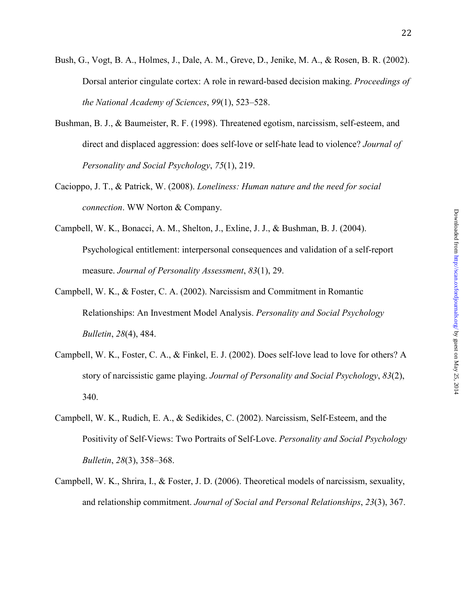- Bush, G., Vogt, B. A., Holmes, J., Dale, A. M., Greve, D., Jenike, M. A., & Rosen, B. R. (2002). Dorsal anterior cingulate cortex: A role in reward-based decision making. *Proceedings of the National Academy of Sciences*, *99*(1), 523–528.
- Bushman, B. J., & Baumeister, R. F. (1998). Threatened egotism, narcissism, self-esteem, and direct and displaced aggression: does self-love or self-hate lead to violence? *Journal of Personality and Social Psychology*, *75*(1), 219.
- Cacioppo, J. T., & Patrick, W. (2008). *Loneliness: Human nature and the need for social connection*. WW Norton & Company.
- Campbell, W. K., Bonacci, A. M., Shelton, J., Exline, J. J., & Bushman, B. J. (2004). Psychological entitlement: interpersonal consequences and validation of a self-report measure. *Journal of Personality Assessment*, *83*(1), 29.
- Campbell, W. K., & Foster, C. A. (2002). Narcissism and Commitment in Romantic Relationships: An Investment Model Analysis. *Personality and Social Psychology Bulletin*, *28*(4), 484.
- Campbell, W. K., Foster, C. A., & Finkel, E. J. (2002). Does self-love lead to love for others? A story of narcissistic game playing. *Journal of Personality and Social Psychology*, *83*(2), 340.
- Campbell, W. K., Rudich, E. A., & Sedikides, C. (2002). Narcissism, Self-Esteem, and the Positivity of Self-Views: Two Portraits of Self-Love. *Personality and Social Psychology Bulletin*, *28*(3), 358–368.
- Campbell, W. K., Shrira, I., & Foster, J. D. (2006). Theoretical models of narcissism, sexuality, and relationship commitment. *Journal of Social and Personal Relationships*, *23*(3), 367.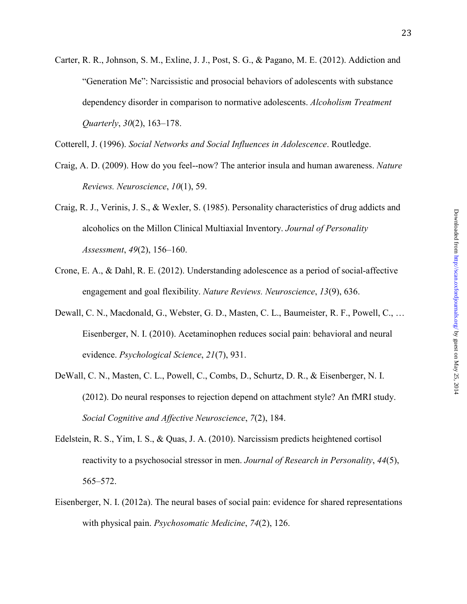Carter, R. R., Johnson, S. M., Exline, J. J., Post, S. G., & Pagano, M. E. (2012). Addiction and "Generation Me": Narcissistic and prosocial behaviors of adolescents with substance dependency disorder in comparison to normative adolescents. *Alcoholism Treatment Quarterly*, *30*(2), 163–178.

Cotterell, J. (1996). *Social Networks and Social Influences in Adolescence*. Routledge.

- Craig, A. D. (2009). How do you feel--now? The anterior insula and human awareness. *Nature Reviews. Neuroscience*, *10*(1), 59.
- Craig, R. J., Verinis, J. S., & Wexler, S. (1985). Personality characteristics of drug addicts and alcoholics on the Millon Clinical Multiaxial Inventory. *Journal of Personality Assessment*, *49*(2), 156–160.
- Crone, E. A., & Dahl, R. E. (2012). Understanding adolescence as a period of social-affective engagement and goal flexibility. *Nature Reviews. Neuroscience*, *13*(9), 636.
- Dewall, C. N., Macdonald, G., Webster, G. D., Masten, C. L., Baumeister, R. F., Powell, C., … Eisenberger, N. I. (2010). Acetaminophen reduces social pain: behavioral and neural evidence. *Psychological Science*, *21*(7), 931.
- DeWall, C. N., Masten, C. L., Powell, C., Combs, D., Schurtz, D. R., & Eisenberger, N. I. (2012). Do neural responses to rejection depend on attachment style? An fMRI study. *Social Cognitive and Affective Neuroscience*, *7*(2), 184.
- Edelstein, R. S., Yim, I. S., & Quas, J. A. (2010). Narcissism predicts heightened cortisol reactivity to a psychosocial stressor in men. *Journal of Research in Personality*, *44*(5), 565–572.
- Eisenberger, N. I. (2012a). The neural bases of social pain: evidence for shared representations with physical pain. *Psychosomatic Medicine*, *74*(2), 126.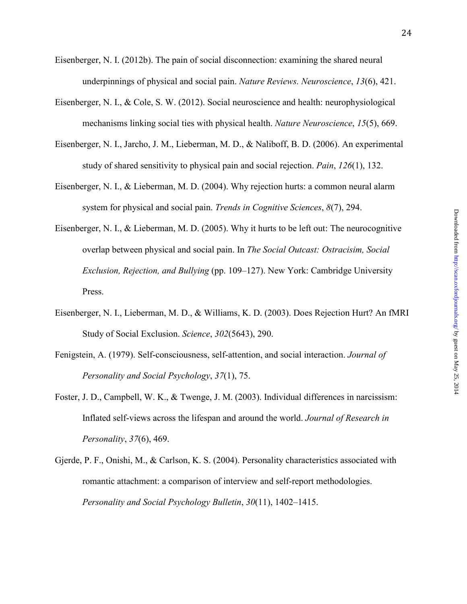- Eisenberger, N. I. (2012b). The pain of social disconnection: examining the shared neural underpinnings of physical and social pain. *Nature Reviews. Neuroscience*, *13*(6), 421.
- Eisenberger, N. I., & Cole, S. W. (2012). Social neuroscience and health: neurophysiological mechanisms linking social ties with physical health. *Nature Neuroscience*, *15*(5), 669.
- Eisenberger, N. I., Jarcho, J. M., Lieberman, M. D., & Naliboff, B. D. (2006). An experimental study of shared sensitivity to physical pain and social rejection. *Pain*, *126*(1), 132.
- Eisenberger, N. I., & Lieberman, M. D. (2004). Why rejection hurts: a common neural alarm system for physical and social pain. *Trends in Cognitive Sciences*, *8*(7), 294.
- Eisenberger, N. I., & Lieberman, M. D. (2005). Why it hurts to be left out: The neurocognitive overlap between physical and social pain. In *The Social Outcast: Ostracisim, Social Exclusion, Rejection, and Bullying* (pp. 109–127). New York: Cambridge University Press.
- Eisenberger, N. I., Lieberman, M. D., & Williams, K. D. (2003). Does Rejection Hurt? An fMRI Study of Social Exclusion. *Science*, *302*(5643), 290.
- Fenigstein, A. (1979). Self-consciousness, self-attention, and social interaction. *Journal of Personality and Social Psychology*, *37*(1), 75.
- Foster, J. D., Campbell, W. K., & Twenge, J. M. (2003). Individual differences in narcissism: Inflated self-views across the lifespan and around the world. *Journal of Research in Personality*, *37*(6), 469.
- Gjerde, P. F., Onishi, M., & Carlson, K. S. (2004). Personality characteristics associated with romantic attachment: a comparison of interview and self-report methodologies. *Personality and Social Psychology Bulletin*, *30*(11), 1402–1415.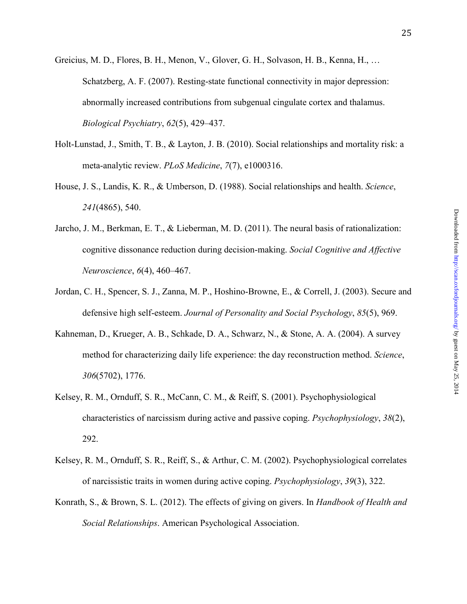- Greicius, M. D., Flores, B. H., Menon, V., Glover, G. H., Solvason, H. B., Kenna, H., … Schatzberg, A. F. (2007). Resting-state functional connectivity in major depression: abnormally increased contributions from subgenual cingulate cortex and thalamus. *Biological Psychiatry*, *62*(5), 429–437.
- Holt-Lunstad, J., Smith, T. B., & Layton, J. B. (2010). Social relationships and mortality risk: a meta-analytic review. *PLoS Medicine*, *7*(7), e1000316.
- House, J. S., Landis, K. R., & Umberson, D. (1988). Social relationships and health. *Science*, *241*(4865), 540.
- Jarcho, J. M., Berkman, E. T., & Lieberman, M. D. (2011). The neural basis of rationalization: cognitive dissonance reduction during decision-making. *Social Cognitive and Affective Neuroscience*, *6*(4), 460–467.
- Jordan, C. H., Spencer, S. J., Zanna, M. P., Hoshino-Browne, E., & Correll, J. (2003). Secure and defensive high self-esteem. *Journal of Personality and Social Psychology*, *85*(5), 969.
- Kahneman, D., Krueger, A. B., Schkade, D. A., Schwarz, N., & Stone, A. A. (2004). A survey method for characterizing daily life experience: the day reconstruction method. *Science*, *306*(5702), 1776.
- Kelsey, R. M., Ornduff, S. R., McCann, C. M., & Reiff, S. (2001). Psychophysiological characteristics of narcissism during active and passive coping. *Psychophysiology*, *38*(2), 292.
- Kelsey, R. M., Ornduff, S. R., Reiff, S., & Arthur, C. M. (2002). Psychophysiological correlates of narcissistic traits in women during active coping. *Psychophysiology*, *39*(3), 322.
- Konrath, S., & Brown, S. L. (2012). The effects of giving on givers. In *Handbook of Health and Social Relationships*. American Psychological Association.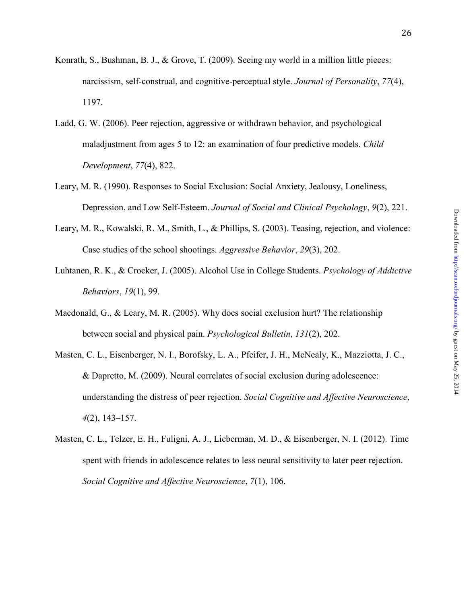- Konrath, S., Bushman, B. J., & Grove, T. (2009). Seeing my world in a million little pieces: narcissism, self-construal, and cognitive-perceptual style. *Journal of Personality*, *77*(4), 1197.
- Ladd, G. W. (2006). Peer rejection, aggressive or withdrawn behavior, and psychological maladjustment from ages 5 to 12: an examination of four predictive models. *Child Development*, *77*(4), 822.
- Leary, M. R. (1990). Responses to Social Exclusion: Social Anxiety, Jealousy, Loneliness, Depression, and Low Self-Esteem. *Journal of Social and Clinical Psychology*, *9*(2), 221.
- Leary, M. R., Kowalski, R. M., Smith, L., & Phillips, S. (2003). Teasing, rejection, and violence: Case studies of the school shootings. *Aggressive Behavior*, *29*(3), 202.
- Luhtanen, R. K., & Crocker, J. (2005). Alcohol Use in College Students. *Psychology of Addictive Behaviors*, *19*(1), 99.
- Macdonald, G., & Leary, M. R. (2005). Why does social exclusion hurt? The relationship between social and physical pain. *Psychological Bulletin*, *131*(2), 202.
- Masten, C. L., Eisenberger, N. I., Borofsky, L. A., Pfeifer, J. H., McNealy, K., Mazziotta, J. C., & Dapretto, M. (2009). Neural correlates of social exclusion during adolescence: understanding the distress of peer rejection. *Social Cognitive and Affective Neuroscience*, *4*(2), 143–157.
- Masten, C. L., Telzer, E. H., Fuligni, A. J., Lieberman, M. D., & Eisenberger, N. I. (2012). Time spent with friends in adolescence relates to less neural sensitivity to later peer rejection. *Social Cognitive and Affective Neuroscience*, *7*(1), 106.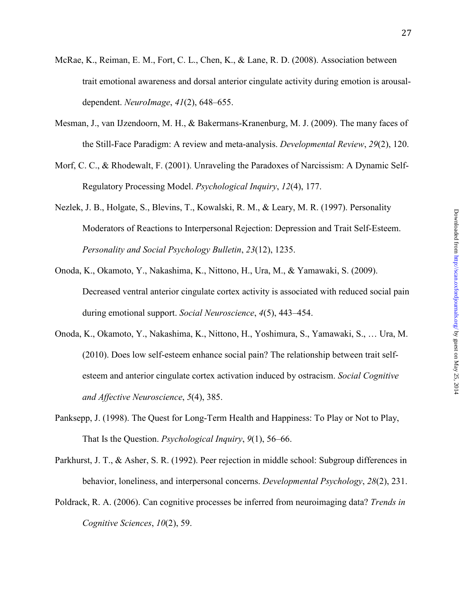- McRae, K., Reiman, E. M., Fort, C. L., Chen, K., & Lane, R. D. (2008). Association between trait emotional awareness and dorsal anterior cingulate activity during emotion is arousaldependent. *NeuroImage*, *41*(2), 648–655.
- Mesman, J., van IJzendoorn, M. H., & Bakermans-Kranenburg, M. J. (2009). The many faces of the Still-Face Paradigm: A review and meta-analysis. *Developmental Review*, *29*(2), 120.
- Morf, C. C., & Rhodewalt, F. (2001). Unraveling the Paradoxes of Narcissism: A Dynamic Self-Regulatory Processing Model. *Psychological Inquiry*, *12*(4), 177.
- Nezlek, J. B., Holgate, S., Blevins, T., Kowalski, R. M., & Leary, M. R. (1997). Personality Moderators of Reactions to Interpersonal Rejection: Depression and Trait Self-Esteem. *Personality and Social Psychology Bulletin*, *23*(12), 1235.
- Onoda, K., Okamoto, Y., Nakashima, K., Nittono, H., Ura, M., & Yamawaki, S. (2009). Decreased ventral anterior cingulate cortex activity is associated with reduced social pain during emotional support. *Social Neuroscience*, *4*(5), 443–454.
- Onoda, K., Okamoto, Y., Nakashima, K., Nittono, H., Yoshimura, S., Yamawaki, S., … Ura, M. (2010). Does low self-esteem enhance social pain? The relationship between trait selfesteem and anterior cingulate cortex activation induced by ostracism. *Social Cognitive and Affective Neuroscience*, *5*(4), 385.
- Panksepp, J. (1998). The Quest for Long-Term Health and Happiness: To Play or Not to Play, That Is the Question. *Psychological Inquiry*, *9*(1), 56–66.
- Parkhurst, J. T., & Asher, S. R. (1992). Peer rejection in middle school: Subgroup differences in behavior, loneliness, and interpersonal concerns. *Developmental Psychology*, *28*(2), 231.
- Poldrack, R. A. (2006). Can cognitive processes be inferred from neuroimaging data? *Trends in Cognitive Sciences*, *10*(2), 59.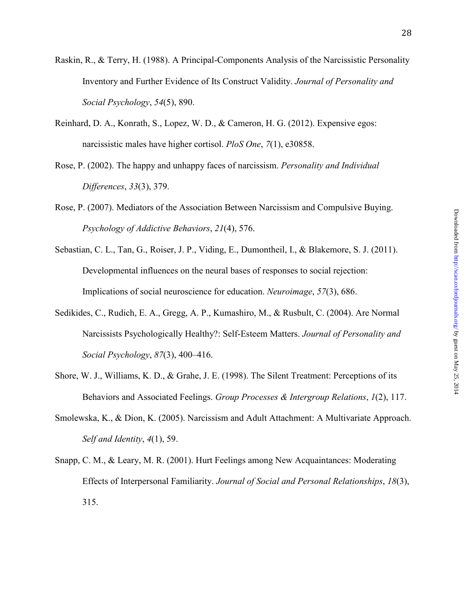- Raskin, R., & Terry, H. (1988). A Principal-Components Analysis of the Narcissistic Personality Inventory and Further Evidence of Its Construct Validity. *Journal of Personality and Social Psychology*, *54*(5), 890.
- Reinhard, D. A., Konrath, S., Lopez, W. D., & Cameron, H. G. (2012). Expensive egos: narcissistic males have higher cortisol. *PloS One*, *7*(1), e30858.
- Rose, P. (2002). The happy and unhappy faces of narcissism. *Personality and Individual Differences*, *33*(3), 379.
- Rose, P. (2007). Mediators of the Association Between Narcissism and Compulsive Buying. *Psychology of Addictive Behaviors*, *21*(4), 576.
- Sebastian, C. L., Tan, G., Roiser, J. P., Viding, E., Dumontheil, I., & Blakemore, S. J. (2011). Developmental influences on the neural bases of responses to social rejection: Implications of social neuroscience for education. *Neuroimage*, *57*(3), 686.
- Sedikides, C., Rudich, E. A., Gregg, A. P., Kumashiro, M., & Rusbult, C. (2004). Are Normal Narcissists Psychologically Healthy?: Self-Esteem Matters. *Journal of Personality and Social Psychology*, *87*(3), 400–416.
- Shore, W. J., Williams, K. D., & Grahe, J. E. (1998). The Silent Treatment: Perceptions of its Behaviors and Associated Feelings. *Group Processes & Intergroup Relations*, *1*(2), 117.
- Smolewska, K., & Dion, K. (2005). Narcissism and Adult Attachment: A Multivariate Approach. *Self and Identity*, *4*(1), 59.
- Snapp, C. M., & Leary, M. R. (2001). Hurt Feelings among New Acquaintances: Moderating Effects of Interpersonal Familiarity. *Journal of Social and Personal Relationships*, *18*(3), 315.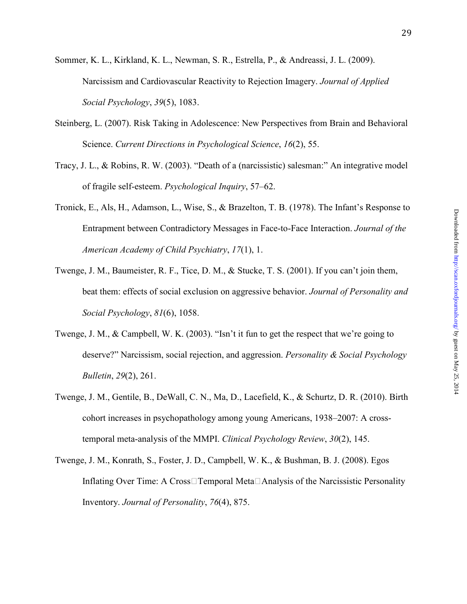- Sommer, K. L., Kirkland, K. L., Newman, S. R., Estrella, P., & Andreassi, J. L. (2009). Narcissism and Cardiovascular Reactivity to Rejection Imagery. *Journal of Applied Social Psychology*, *39*(5), 1083.
- Steinberg, L. (2007). Risk Taking in Adolescence: New Perspectives from Brain and Behavioral Science. *Current Directions in Psychological Science*, *16*(2), 55.
- Tracy, J. L., & Robins, R. W. (2003). "Death of a (narcissistic) salesman:" An integrative model of fragile self-esteem. *Psychological Inquiry*, 57–62.
- Tronick, E., Als, H., Adamson, L., Wise, S., & Brazelton, T. B. (1978). The Infant's Response to Entrapment between Contradictory Messages in Face-to-Face Interaction. *Journal of the American Academy of Child Psychiatry*, *17*(1), 1.
- Twenge, J. M., Baumeister, R. F., Tice, D. M., & Stucke, T. S. (2001). If you can't join them, beat them: effects of social exclusion on aggressive behavior. *Journal of Personality and Social Psychology*, *81*(6), 1058.
- Twenge, J. M., & Campbell, W. K. (2003). "Isn't it fun to get the respect that we're going to deserve?" Narcissism, social rejection, and aggression. *Personality & Social Psychology Bulletin*, *29*(2), 261.
- Twenge, J. M., Gentile, B., DeWall, C. N., Ma, D., Lacefield, K., & Schurtz, D. R. (2010). Birth cohort increases in psychopathology among young Americans, 1938–2007: A crosstemporal meta-analysis of the MMPI. *Clinical Psychology Review*, *30*(2), 145.
- Twenge, J. M., Konrath, S., Foster, J. D., Campbell, W. K., & Bushman, B. J. (2008). Egos Inflating Over Time: A Cross Temporal Meta  $\Box$  Analysis of the Narcissistic Personality Inventory. *Journal of Personality*, *76*(4), 875.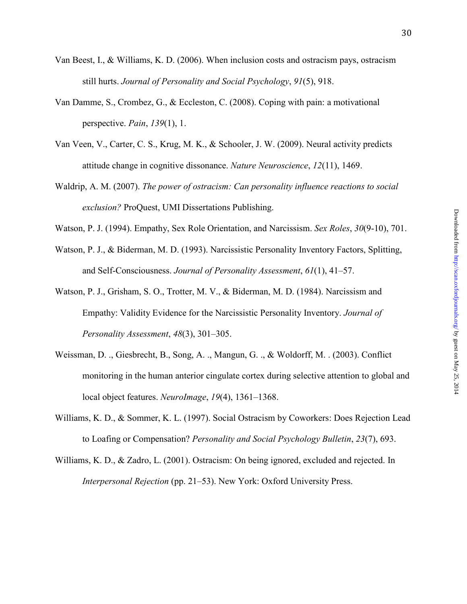- Van Beest, I., & Williams, K. D. (2006). When inclusion costs and ostracism pays, ostracism
	- still hurts. *Journal of Personality and Social Psychology*, *91*(5), 918.
- Van Damme, S., Crombez, G., & Eccleston, C. (2008). Coping with pain: a motivational perspective. *Pain*, *139*(1), 1.
- Van Veen, V., Carter, C. S., Krug, M. K., & Schooler, J. W. (2009). Neural activity predicts attitude change in cognitive dissonance. *Nature Neuroscience*, *12*(11), 1469.
- Waldrip, A. M. (2007). *The power of ostracism: Can personality influence reactions to social exclusion?* ProQuest, UMI Dissertations Publishing.
- Watson, P. J. (1994). Empathy, Sex Role Orientation, and Narcissism. *Sex Roles*, *30*(9-10), 701.
- Watson, P. J., & Biderman, M. D. (1993). Narcissistic Personality Inventory Factors, Splitting, and Self-Consciousness. *Journal of Personality Assessment*, *61*(1), 41–57.
- Watson, P. J., Grisham, S. O., Trotter, M. V., & Biderman, M. D. (1984). Narcissism and Empathy: Validity Evidence for the Narcissistic Personality Inventory. *Journal of Personality Assessment*, *48*(3), 301–305.
- Weissman, D. ., Giesbrecht, B., Song, A. ., Mangun, G. ., & Woldorff, M. . (2003). Conflict monitoring in the human anterior cingulate cortex during selective attention to global and local object features. *NeuroImage*, *19*(4), 1361–1368.
- Williams, K. D., & Sommer, K. L. (1997). Social Ostracism by Coworkers: Does Rejection Lead to Loafing or Compensation? *Personality and Social Psychology Bulletin*, *23*(7), 693.
- Williams, K. D., & Zadro, L. (2001). Ostracism: On being ignored, excluded and rejected. In *Interpersonal Rejection* (pp. 21–53). New York: Oxford University Press.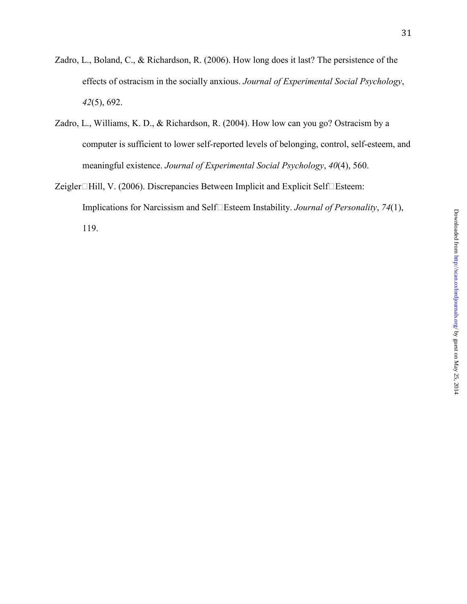- Zadro, L., Boland, C., & Richardson, R. (2006). How long does it last? The persistence of the effects of ostracism in the socially anxious. *Journal of Experimental Social Psychology*, *42*(5), 692.
- Zadro, L., Williams, K. D., & Richardson, R. (2004). How low can you go? Ostracism by a computer is sufficient to lower self-reported levels of belonging, control, self-esteem, and meaningful existence. *Journal of Experimental Social Psychology*, *40*(4), 560.
- Zeigler $\Box$ Hill, V. (2006). Discrepancies Between Implicit and Explicit Self $\Box$ Esteem: Implications for Narcissism and Self□Esteem Instability. *Journal of Personality*, 74(1), 119.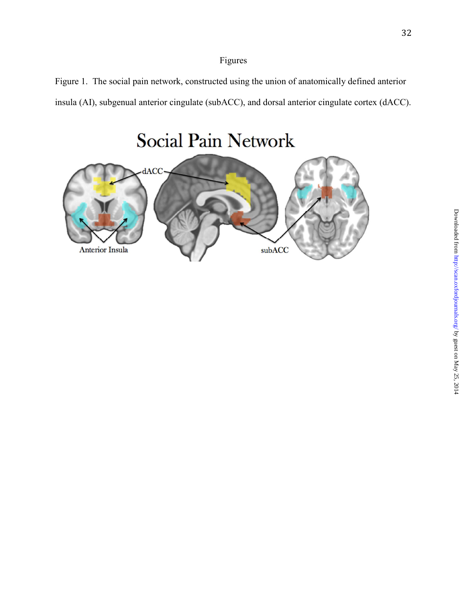# Figures

Figure 1. The social pain network, constructed using the union of anatomically defined anterior insula (AI), subgenual anterior cingulate (subACC), and dorsal anterior cingulate cortex (dACC).

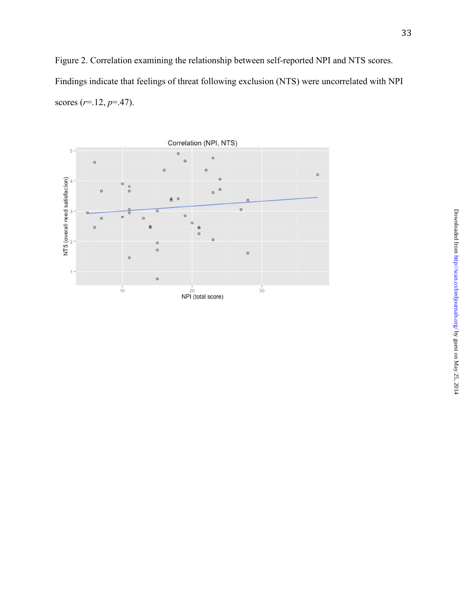Figure 2. Correlation examining the relationship between self-reported NPI and NTS scores. Findings indicate that feelings of threat following exclusion (NTS) were uncorrelated with NPI scores (*r*=.12, *p*=.47).